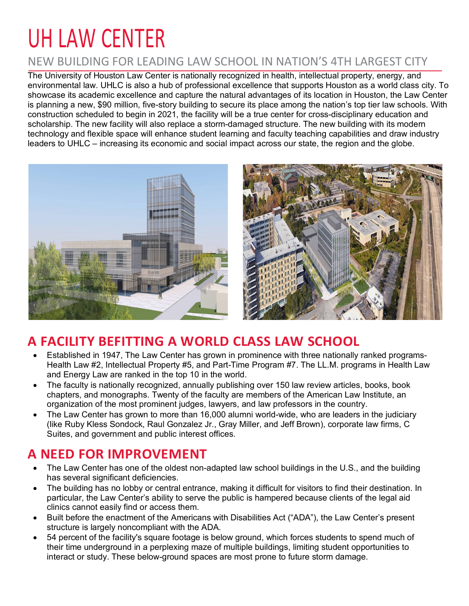# UH LAW CENTER

#### NEW BUILDING FOR LEADING LAW SCHOOL IN NATION'S 4TH LARGEST CITY

The University of Houston Law Center is nationally recognized in health, intellectual property, energy, and environmental law. UHLC is also a hub of professional excellence that supports Houston as a world class city. To showcase its academic excellence and capture the natural advantages of its location in Houston, the Law Center is planning a new, \$90 million, five-story building to secure its place among the nation's top tier law schools. With construction scheduled to begin in 2021, the facility will be a true center for cross-disciplinary education and scholarship. The new facility will also replace a storm-damaged structure. The new building with its modern technology and flexible space will enhance student learning and faculty teaching capabilities and draw industry leaders to UHLC – increasing its economic and social impact across our state, the region and the globe.





## **A FACILITY BEFITTING A WORLD CLASS LAW SCHOOL**

- Established in 1947, The Law Center has grown in prominence with three nationally ranked programs-Health Law #2, Intellectual Property #5, and Part-Time Program #7. The LL.M. programs in Health Law and Energy Law are ranked in the top 10 in the world.
- The faculty is nationally recognized, annually publishing over 150 law review articles, books, book chapters, and monographs. Twenty of the faculty are members of the American Law Institute, an organization of the most prominent judges, lawyers, and law professors in the country.
- The Law Center has grown to more than 16,000 alumni world-wide, who are leaders in the judiciary (like Ruby Kless Sondock, Raul Gonzalez Jr., Gray Miller, and Jeff Brown), corporate law firms, C Suites, and government and public interest offices.

#### **A NEED FOR IMPROVEMENT**

- The Law Center has one of the oldest non-adapted law school buildings in the U.S., and the building has several significant deficiencies.
- The building has no lobby or central entrance, making it difficult for visitors to find their destination. In particular, the Law Center's ability to serve the public is hampered because clients of the legal aid clinics cannot easily find or access them.
- Built before the enactment of the Americans with Disabilities Act ("ADA"), the Law Center's present structure is largely noncompliant with the ADA.
- 54 percent of the facility's square footage is below ground, which forces students to spend much of their time underground in a perplexing maze of multiple buildings, limiting student opportunities to interact or study. These below-ground spaces are most prone to future storm damage.